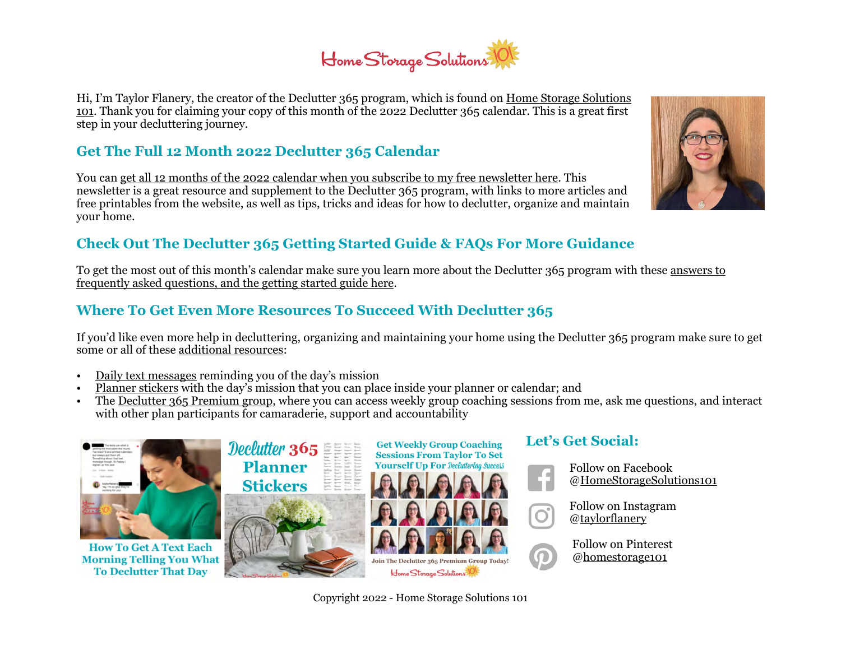# Home Storage Solutions

Hi, I'm Taylor Flanery, the creator of the Declutter 365 program, which is found on [Home Storage Solutions](https://www.home-storage-solutions-101.com/)  [101](https://www.home-storage-solutions-101.com/). Thank you for claiming your copy of this month of the 2022 Declutter 365 calendar. This is a great first step in your decluttering journey.

### **Get The Full 12 Month 2022 Declutter 365 Calendar**

You can [get all 12 months of the 2022 calendar when you subscribe to my free newsletter here.](https://www.home-storage-solutions-101.com/declutter-calendar.html) This newsletter is a great resource and supplement to the Declutter 365 program, with links to more articles and free printables from the website, as well as tips, tricks and ideas for how to declutter, organize and maintain your home.

### **Check Out The Declutter 365 Getting Started Guide & FAQs For More Guidance**

To get the most out of this month's calendar make sure you learn more about the Declutter 365 program with these [answers to](https://www.home-storage-solutions-101.com/declutter-365-faqs.html)  [frequently asked questions, and the getting started guide here.](https://www.home-storage-solutions-101.com/declutter-365-faqs.html)

### **Where To Get Even More Resources To Succeed With Declutter 365**

If you'd like even more help in decluttering, organizing and maintaining your home using the Declutter 365 program make sure to get some or all of these [additional resources:](https://www.home-storage-solutions-101.com/declutter-365-products.html)

- [Daily text messages](https://www.home-storage-solutions-101.com/declutter-365-text-messages.html) reminding you of the day's mission
- [Planner stickers](https://www.home-storage-solutions-101.com/declutter-365-planner-stickers.html) with the day's mission that you can place inside your planner or calendar; and
- The [Declutter 365 Premium group,](https://www.home-storage-solutions-101.com/declutter-365-premium.html) where you can access weekly group coaching sessions from me, ask me questions, and interact with other plan participants for camaraderie, support and accountability



**How To Get A Text Each Morning Telling You What To Declutter That Day** 





### **Let's Get Social:**

 $\Omega$ 

Follow on Facebook [@HomeStorageSolutions101](https://www.facebook.com/HomeStorageSolutions101)

Follow on Instagram [@taylorflanery](https://www.instagram.com/taylorflanery/)

Follow on Pinterest [@homestorage101](https://www.pinterest.com/homestorage101/)



Copyright 2022 - Home Storage Solutions 101